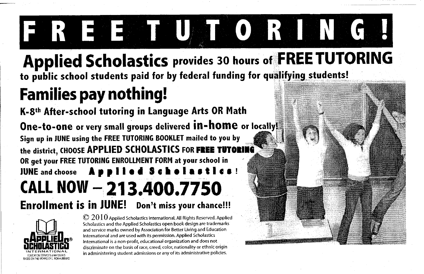# FREEM UTORING!

**Applied Scholastics provides 30 hours of FREE TUTORING** to public school students paid for by federal funding for qualifying students!

## **Families pay nothing!**

K-8th After-school tutoring in Language Arts OR Math One-to-one or very small groups delivered in-home or locally! Sign up in JUNE using the FREE TUTORING BOOKLET mailed to you by the district, CHOOSE APPLIED SCHOLASTICS FOR FREE TUTORING OR get your FREE TUTORING ENROLLMENT FORM at your school in JUNE and choose Applied Scholasti CALL NOW - 213,400.7750 Enrollment is in JUNE! Don't miss your chance!!!



 $\odot 2010$  Applied Scholastics International. All Rights Reserved. Applied Scholastics and the Applied Scholastics open book design are trademarks and service marks owned by Association for Better Living and Education International and are used with its permission. Applied Scholastics International is a non-profit, educational organization and does not discriminate on the basis of race, creed, color, nationality or ethnic origin in administering student admissions or any of its administrative policies.